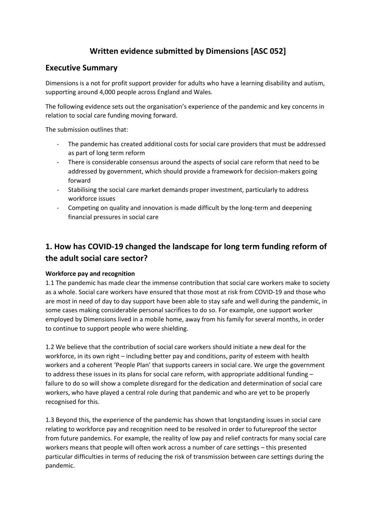## **Written evidence submitted by Dimensions [ASC 052]**

### **Executive Summary**

Dimensions is a not for profit support provider for adults who have a learning disability and autism, supporting around 4,000 people across England and Wales.

The following evidence sets out the organisation's experience of the pandemic and key concerns in relation to social care funding moving forward.

The submission outlines that:

- The pandemic has created additional costs for social care providers that must be addressed as part of long term reform
- There is considerable consensus around the aspects of social care reform that need to be addressed by government, which should provide a framework for decision-makers going forward
- Stabilising the social care market demands proper investment, particularly to address workforce issues
- Competing on quality and innovation is made difficult by the long-term and deepening financial pressures in social care

# **1. How has COVID-19 changed the landscape for long term funding reform of the adult social care sector?**

### **Workforce pay and recognition**

1.1 The pandemic has made clear the immense contribution that social care workers make to society as a whole. Social care workers have ensured that those most at risk from COVID-19 and those who are most in need of day to day support have been able to stay safe and well during the pandemic, in some cases making considerable personal sacrifices to do so. For example, one support worker employed by Dimensions lived in a mobile home, away from his family for several months, in order to continue to support people who were shielding.

1.2 We believe that the contribution of social care workers should initiate a new deal for the workforce, in its own right – including better pay and conditions, parity of esteem with health workers and a coherent 'People Plan' that supports careers in social care. We urge the government to address these issues in its plans for social care reform, with appropriate additional funding failure to do so will show a complete disregard for the dedication and determination of social care workers, who have played a central role during that pandemic and who are yet to be properly recognised for this.

1.3 Beyond this, the experience of the pandemic has shown that longstanding issues in social care relating to workforce pay and recognition need to be resolved in order to futureproof the sector from future pandemics. For example, the reality of low pay and relief contracts for many social care workers means that people will often work across a number of care settings – this presented particular difficulties in terms of reducing the risk of transmission between care settings during the pandemic.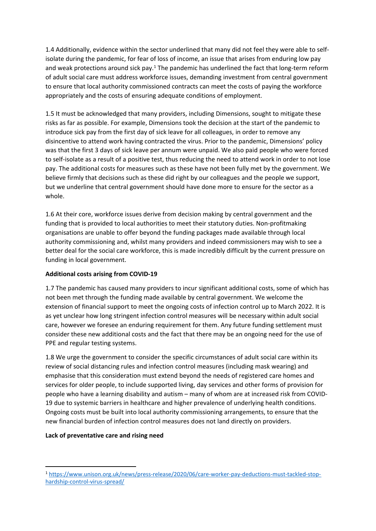1.4 Additionally, evidence within the sector underlined that many did not feel they were able to selfisolate during the pandemic, for fear of loss of income, an issue that arises from enduring low pay and weak protections around sick pay.<sup>1</sup> The pandemic has underlined the fact that long-term reform of adult social care must address workforce issues, demanding investment from central government to ensure that local authority commissioned contracts can meet the costs of paying the workforce appropriately and the costs of ensuring adequate conditions of employment.

1.5 It must be acknowledged that many providers, including Dimensions, sought to mitigate these risks as far as possible. For example, Dimensions took the decision at the start of the pandemic to introduce sick pay from the first day of sick leave for all colleagues, in order to remove any disincentive to attend work having contracted the virus. Prior to the pandemic, Dimensions' policy was that the first 3 days of sick leave per annum were unpaid. We also paid people who were forced to self-isolate as a result of a positive test, thus reducing the need to attend work in order to not lose pay. The additional costs for measures such as these have not been fully met by the government. We believe firmly that decisions such as these did right by our colleagues and the people we support, but we underline that central government should have done more to ensure for the sector as a whole.

1.6 At their core, workforce issues derive from decision making by central government and the funding that is provided to local authorities to meet their statutory duties. Non-profitmaking organisations are unable to offer beyond the funding packages made available through local authority commissioning and, whilst many providers and indeed commissioners may wish to see a better deal for the social care workforce, this is made incredibly difficult by the current pressure on funding in local government.

### **Additional costs arising from COVID-19**

1.7 The pandemic has caused many providers to incur significant additional costs, some of which has not been met through the funding made available by central government. We welcome the extension of financial support to meet the ongoing costs of infection control up to March 2022. It is as yet unclear how long stringent infection control measures will be necessary within adult social care, however we foresee an enduring requirement for them. Any future funding settlement must consider these new additional costs and the fact that there may be an ongoing need for the use of PPE and regular testing systems.

1.8 We urge the government to consider the specific circumstances of adult social care within its review of social distancing rules and infection control measures (including mask wearing) and emphasise that this consideration must extend beyond the needs of registered care homes and services for older people, to include supported living, day services and other forms of provision for people who have a learning disability and autism – many of whom are at increased risk from COVID-19 due to systemic barriers in healthcare and higher prevalence of underlying health conditions. Ongoing costs must be built into local authority commissioning arrangements, to ensure that the new financial burden of infection control measures does not land directly on providers.

#### **Lack of preventative care and rising need**

<sup>1</sup> [https://www.unison.org.uk/news/press-release/2020/06/care-worker-pay-deductions-must-tackled-stop](https://www.unison.org.uk/news/press-release/2020/06/care-worker-pay-deductions-must-tackled-stop-hardship-control-virus-spread/)[hardship-control-virus-spread/](https://www.unison.org.uk/news/press-release/2020/06/care-worker-pay-deductions-must-tackled-stop-hardship-control-virus-spread/)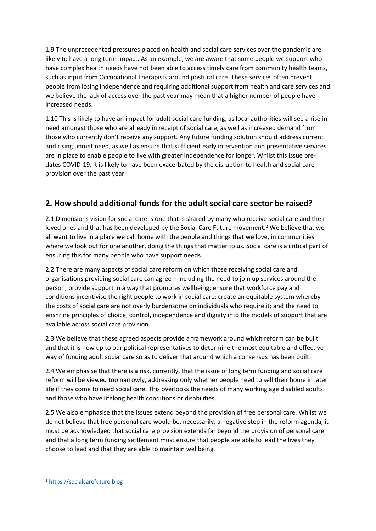1.9 The unprecedented pressures placed on health and social care services over the pandemic are likely to have a long term impact. As an example, we are aware that some people we support who have complex health needs have not been able to access timely care from community health teams, such as input from Occupational Therapists around postural care. These services often prevent people from losing independence and requiring additional support from health and care services and we believe the lack of access over the past year may mean that a higher number of people have increased needs.

1.10 This is likely to have an impact for adult social care funding, as local authorities will see a rise in need amongst those who are already in receipt of social care, as well as increased demand from those who currently don't receive any support. Any future funding solution should address current and rising unmet need, as well as ensure that sufficient early intervention and preventative services are in place to enable people to live with greater independence for longer. Whilst this issue predates COVID-19, it is likely to have been exacerbated by the disruption to health and social care provision over the past year.

### **2. How should additional funds for the adult social care sector be raised?**

2.1 Dimensions vision for social care is one that is shared by many who receive social care and their loved ones and that has been developed by the Social Care Future movement.<sup>2</sup> We believe that we all want to live in a place we call home with the people and things that we love, in communities where we look out for one another, doing the things that matter to us. Social care is a critical part of ensuring this for many people who have support needs.

2.2 There are many aspects of social care reform on which those receiving social care and organisations providing social care can agree – including the need to join up services around the person; provide support in a way that promotes wellbeing; ensure that workforce pay and conditions incentivise the right people to work in social care; create an equitable system whereby the costs of social care are not overly burdensome on individuals who require it; and the need to enshrine principles of choice, control, independence and dignity into the models of support that are available across social care provision.

2.3 We believe that these agreed aspects provide a framework around which reform can be built and that it is now up to our political representatives to determine the most equitable and effective way of funding adult social care so as to deliver that around which a consensus has been built.

2.4 We emphasise that there is a risk, currently, that the issue of long term funding and social care reform will be viewed too narrowly, addressing only whether people need to sell their home in later life if they come to need social care. This overlooks the needs of many working age disabled adults and those who have lifelong health conditions or disabilities.

2.5 We also emphasise that the issues extend beyond the provision of free personal care. Whilst we do not believe that free personal care would be, necessarily, a negative step in the reform agenda, it must be acknowledged that social care provision extends far beyond the provision of personal care and that a long term funding settlement must ensure that people are able to lead the lives they choose to lead and that they are able to maintain wellbeing.

<sup>2</sup> [https://socialcarefuture.blog](https://socialcarefuture.blog/)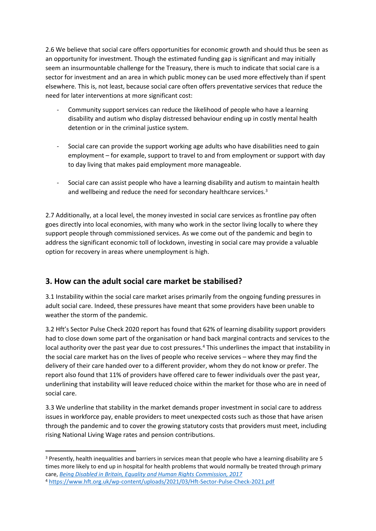2.6 We believe that social care offers opportunities for economic growth and should thus be seen as an opportunity for investment. Though the estimated funding gap is significant and may initially seem an insurmountable challenge for the Treasury, there is much to indicate that social care is a sector for investment and an area in which public money can be used more effectively than if spent elsewhere. This is, not least, because social care often offers preventative services that reduce the need for later interventions at more significant cost:

- Community support services can reduce the likelihood of people who have a learning disability and autism who display distressed behaviour ending up in costly mental health detention or in the criminal justice system.
- Social care can provide the support working age adults who have disabilities need to gain employment – for example, support to travel to and from employment or support with day to day living that makes paid employment more manageable.
- Social care can assist people who have a learning disability and autism to maintain health and wellbeing and reduce the need for secondary healthcare services.<sup>3</sup>

2.7 Additionally, at a local level, the money invested in social care services as frontline pay often goes directly into local economies, with many who work in the sector living locally to where they support people through commissioned services. As we come out of the pandemic and begin to address the significant economic toll of lockdown, investing in social care may provide a valuable option for recovery in areas where unemployment is high.

### **3. How can the adult social care market be stabilised?**

3.1 Instability within the social care market arises primarily from the ongoing funding pressures in adult social care. Indeed, these pressures have meant that some providers have been unable to weather the storm of the pandemic.

3.2 Hft's Sector Pulse Check 2020 report has found that 62% of learning disability support providers had to close down some part of the organisation or hand back marginal contracts and services to the local authority over the past year due to cost pressures.<sup>4</sup> This underlines the impact that instability in the social care market has on the lives of people who receive services – where they may find the delivery of their care handed over to a different provider, whom they do not know or prefer. The report also found that 11% of providers have offered care to fewer individuals over the past year, underlining that instability will leave reduced choice within the market for those who are in need of social care.

3.3 We underline that stability in the market demands proper investment in social care to address issues in workforce pay, enable providers to meet unexpected costs such as those that have arisen through the pandemic and to cover the growing statutory costs that providers must meet, including rising National Living Wage rates and pension contributions.

<sup>3</sup> Presently, health inequalities and barriers in services mean that people who have a learning disability are 5 times more likely to end up in hospital for health problems that would normally be treated through primary care, *[Being](https://www.equalityhumanrights.com/en/publication-download/being-disabled-britain-journey-less-equal) [Disabled](https://www.equalityhumanrights.com/en/publication-download/being-disabled-britain-journey-less-equal) [in](https://www.equalityhumanrights.com/en/publication-download/being-disabled-britain-journey-less-equal) [Britain,](https://www.equalityhumanrights.com/en/publication-download/being-disabled-britain-journey-less-equal) [Equality](https://www.equalityhumanrights.com/en/publication-download/being-disabled-britain-journey-less-equal) [and](https://www.equalityhumanrights.com/en/publication-download/being-disabled-britain-journey-less-equal) [Human](https://www.equalityhumanrights.com/en/publication-download/being-disabled-britain-journey-less-equal) [Rights](https://www.equalityhumanrights.com/en/publication-download/being-disabled-britain-journey-less-equal) [Commission,](https://www.equalityhumanrights.com/en/publication-download/being-disabled-britain-journey-less-equal) [2017](https://www.equalityhumanrights.com/en/publication-download/being-disabled-britain-journey-less-equal)* <sup>4</sup> <https://www.hft.org.uk/wp-content/uploads/2021/03/Hft-Sector-Pulse-Check-2021.pdf>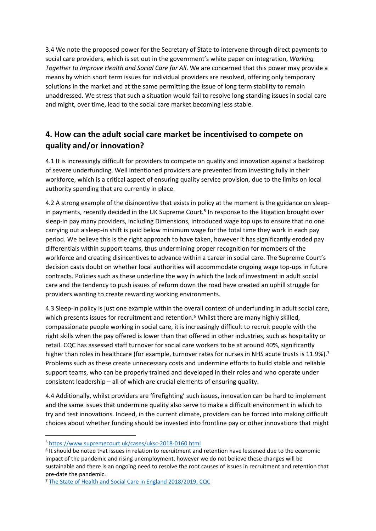3.4 We note the proposed power for the Secretary of State to intervene through direct payments to social care providers, which is set out in the government's white paper on integration, *Working Together to Improve Health and Social Care for All*. We are concerned that this power may provide a means by which short term issues for individual providers are resolved, offering only temporary solutions in the market and at the same permitting the issue of long term stability to remain unaddressed. We stress that such a situation would fail to resolve long standing issues in social care and might, over time, lead to the social care market becoming less stable.

# **4. How can the adult social care market be incentivised to compete on quality and/or innovation?**

4.1 It is increasingly difficult for providers to compete on quality and innovation against a backdrop of severe underfunding. Well intentioned providers are prevented from investing fully in their workforce, which is a critical aspect of ensuring quality service provision, due to the limits on local authority spending that are currently in place.

4.2 A strong example of the disincentive that exists in policy at the moment is the guidance on sleepin payments, recently decided in the UK Supreme Court.<sup>5</sup> In response to the litigation brought over sleep-in pay many providers, including Dimensions, introduced wage top ups to ensure that no one carrying out a sleep-in shift is paid below minimum wage for the total time they work in each pay period. We believe this is the right approach to have taken, however it has significantly eroded pay differentials within support teams, thus undermining proper recognition for members of the workforce and creating disincentives to advance within a career in social care. The Supreme Court's decision casts doubt on whether local authorities will accommodate ongoing wage top-ups in future contracts. Policies such as these underline the way in which the lack of investment in adult social care and the tendency to push issues of reform down the road have created an uphill struggle for providers wanting to create rewarding working environments.

4.3 Sleep-in policy is just one example within the overall context of underfunding in adult social care, which presents issues for recruitment and retention.<sup>6</sup> Whilst there are many highly skilled, compassionate people working in social care, it is increasingly difficult to recruit people with the right skills when the pay offered is lower than that offered in other industries, such as hospitality or retail. CQC has assessed staff turnover for social care workers to be at around 40%, significantly higher than roles in healthcare (for example, turnover rates for nurses in NHS acute trusts is 11.9%).<sup>7</sup> Problems such as these create unnecessary costs and undermine efforts to build stable and reliable support teams, who can be properly trained and developed in their roles and who operate under consistent leadership – all of which are crucial elements of ensuring quality.

4.4 Additionally, whilst providers are 'firefighting' such issues, innovation can be hard to implement and the same issues that undermine quality also serve to make a difficult environment in which to try and test innovations. Indeed, in the current climate, providers can be forced into making difficult choices about whether funding should be invested into frontline pay or other innovations that might

<sup>5</sup> <https://www.supremecourt.uk/cases/uksc-2018-0160.html>

<sup>6</sup> It should be noted that issues in relation to recruitment and retention have lessened due to the economic impact of the pandemic and rising unemployment, however we do not believe these changes will be sustainable and there is an ongoing need to resolve the root causes of issues in recruitment and retention that pre-date the pandemic.

<sup>7</sup> [The](https://www.cqc.org.uk/sites/default/files/20191015b_stateofcare1819_fullreport.pdf) [State](https://www.cqc.org.uk/sites/default/files/20191015b_stateofcare1819_fullreport.pdf) [of](https://www.cqc.org.uk/sites/default/files/20191015b_stateofcare1819_fullreport.pdf) [Health](https://www.cqc.org.uk/sites/default/files/20191015b_stateofcare1819_fullreport.pdf) [and](https://www.cqc.org.uk/sites/default/files/20191015b_stateofcare1819_fullreport.pdf) [Social](https://www.cqc.org.uk/sites/default/files/20191015b_stateofcare1819_fullreport.pdf) [Care](https://www.cqc.org.uk/sites/default/files/20191015b_stateofcare1819_fullreport.pdf) [in](https://www.cqc.org.uk/sites/default/files/20191015b_stateofcare1819_fullreport.pdf) [England](https://www.cqc.org.uk/sites/default/files/20191015b_stateofcare1819_fullreport.pdf) [2018/2019,](https://www.cqc.org.uk/sites/default/files/20191015b_stateofcare1819_fullreport.pdf) [CQC](https://www.cqc.org.uk/sites/default/files/20191015b_stateofcare1819_fullreport.pdf)